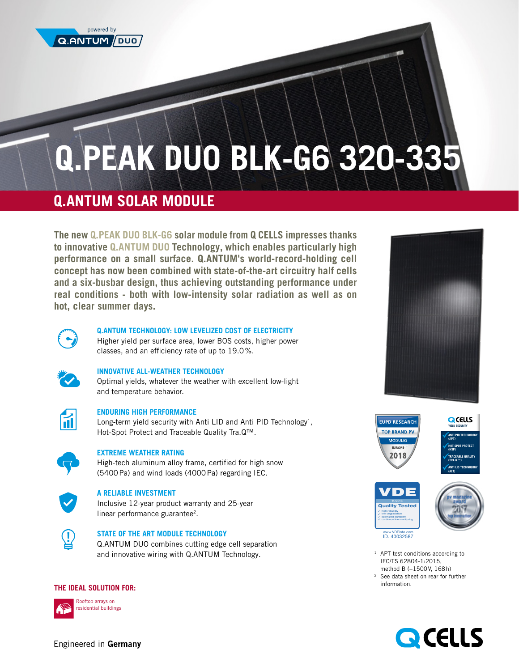

# **Q.PEAK DUO BLK-G6 320-335**

# **Q.ANTUM SOLAR MODULE**

**The new Q.PEAK DUO BLK-G6 solar module from Q CELLS impresses thanks to innovative Q.ANTUM DUO Technology, which enables particularly high performance on a small surface. Q.ANTUM's world-record-holding cell concept has now been combined with state-of-the-art circuitry half cells and a six-busbar design, thus achieving outstanding performance under real conditions - both with low-intensity solar radiation as well as on hot, clear summer days.** 



#### **Q.ANTUM TECHNOLOGY: LOW LEVELIZED COST OF ELECTRICITY**

Higher yield per surface area, lower BOS costs, higher power classes, and an efficiency rate of up to 19.0%.



# **INNOVATIVE ALL-WEATHER TECHNOLOGY**

Optimal yields, whatever the weather with excellent low-light and temperature behavior.



# **ENDURING HIGH PERFORMANCE**

Long-term yield security with Anti LID and Anti PID Technology<sup>1</sup>, Hot-Spot Protect and Traceable Quality Tra.Q™.



# **EXTREME WEATHER RATING**

High-tech aluminum alloy frame, certified for high snow (5400Pa) and wind loads (4000Pa) regarding IEC.



# **A RELIABLE INVESTMENT**

Inclusive 12-year product warranty and 25-year linear performance guarantee2.



# **STATE OF THE ART MODULE TECHNOLOGY**

Q.ANTUM DUO combines cutting edge cell separation and innovative wiring with Q.ANTUM Technology.

# **THE IDEAL SOLUTION FOR:**





Rooftop arrays on residential buildings











www.VDEinfo.com ID. 40032587

- <sup>1</sup> APT test conditions according to IEC/TS 62804-1:2015, method B (−1500V, 168h)
- <sup>2</sup> See data sheet on rear for further information.